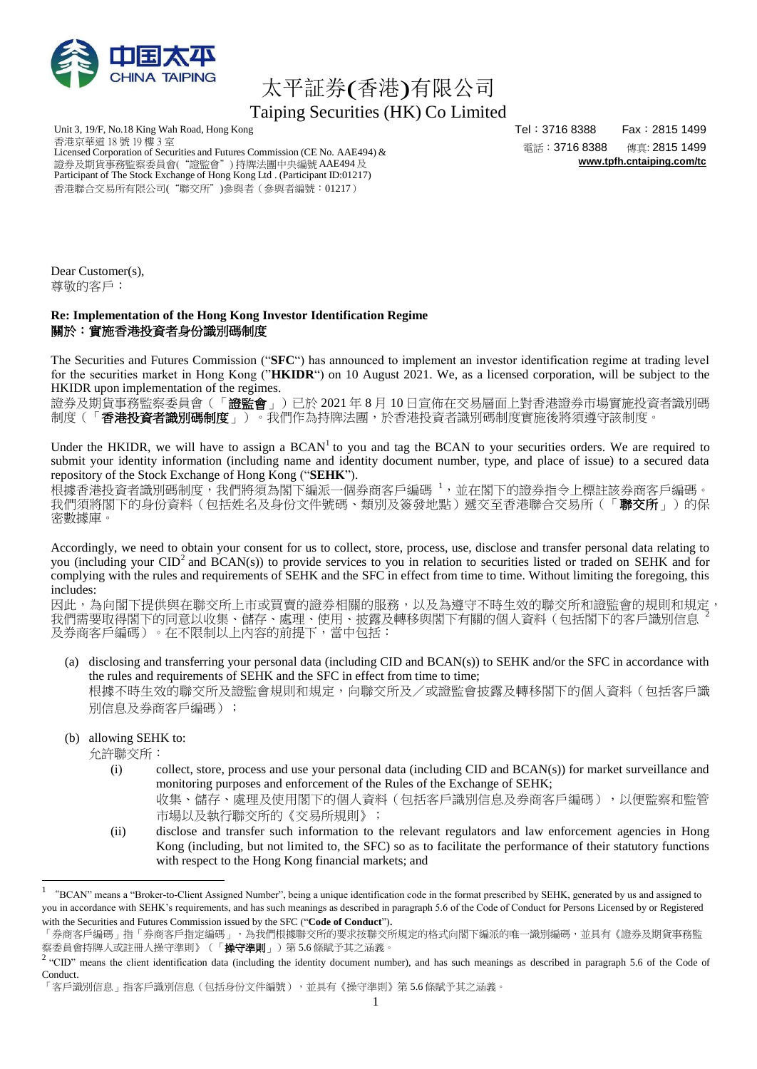

## 太平証券(香港)有限公司 Taiping Securities (HK) Co Limited

Unit 3, 19/F, No.18 King Wah Road, Hong Kong 香港京華道 18 號 19 樓 3 室 Licensed Corporation of Securities and Futures Commission (CE No. AAE494) & 證券及期貨事務監察委員會("證監會") 持牌法團中央編號AAE494及 Participant of The Stock Exchange of Hong Kong Ltd . (Participant ID:01217) 香港聯合交易所有限公司("聯交所")參與者(參與者編號:01217)

Tel:3716 8388 Fax:2815 1499 電話:3716 8388 傳真: 2815 1499 **[www.tpfh.cntaiping.com/tc](http://www.tpfh.cntaiping.com/tc)**

Dear Customer(s), 尊敬的客戶:

## **Re: Implementation of the Hong Kong Investor Identification Regime** 關於:實施香港投資者身份識別碼制度

The Securities and Futures Commission ("**SFC**") has announced to implement an investor identification regime at trading level for the securities market in Hong Kong ("**HKIDR**") on 10 August 2021. We, as a licensed corporation, will be subject to the HKIDR upon implementation of the regimes.

證券及期貨事務監察委員會(「證監會」)已於 2021 年 8 月 10 日宣佈在交易層面上對香港證券市場實施投資者識別碼 制度(「香港投資者識別碼制度」)。我們作為持牌法團,於香港投資者識別碼制度實施後將須遵守該制度。

Under the HKIDR, we will have to assign a  $BCAN<sup>1</sup>$  to you and tag the BCAN to your securities orders. We are required to submit your identity information (including name and identity document number, type, and place of issue) to a secured data repository of the Stock Exchange of Hong Kong ("**SEHK**").

根據香港投資者識別碼制度,我們將須為閣下編派一個券商客戶編碼 1,並在閣下的證券指令上標註該券商客戶編碼。 我們須將閣下的身份資料(包括姓名及身份文件號碼、類別及簽發地點)遞交至香港聯合交易所(「**聯交所**」)的保 密數據庫。

Accordingly, we need to obtain your consent for us to collect, store, process, use, disclose and transfer personal data relating to you (including your CID<sup>2</sup> and BCAN(s)) to provide services to you in relation to securities listed or traded on SEHK and for complying with the rules and requirements of SEHK and the SFC in effect from time to time. Without limiting the foregoing, this includes:

因此,為向閣下提供與在聯交所上市或買賣的證券相關的服務,以及為遵守不時生效的聯交所和證監會的規則和規定, 我們需要取得閣下的同意以收集、儲存、處理、使用、披露及轉移與閣下有關的個人資料(包括閣下的客戶識別信息 及券商客戶編碼)。在不限制以上內容的前提下,當中包括:

- (a) disclosing and transferring your personal data (including CID and BCAN(s)) to SEHK and/or the SFC in accordance with the rules and requirements of SEHK and the SFC in effect from time to time; 根據不時生效的聯交所及證監會規則和規定,向聯交所及/或證監會披露及轉移閣下的個人資料(包括客戶識 別信息及券商客戶編碼);
- (b) allowing SEHK to:

允許聯交所:

1

- (i) collect, store, process and use your personal data (including CID and BCAN(s)) for market surveillance and monitoring purposes and enforcement of the Rules of the Exchange of SEHK;
	- 收集、儲存、處理及使用閣下的個人資料(包括客戶識別信息及券商客戶編碼),以便監察和監管 市場以及執行聯交所的《交易所規則》;
- (ii) disclose and transfer such information to the relevant regulators and law enforcement agencies in Hong Kong (including, but not limited to, the SFC) so as to facilitate the performance of their statutory functions with respect to the Hong Kong financial markets; and

<sup>1</sup> "BCAN" means a "Broker-to-Client Assigned Number", being a unique identification code in the format prescribed by SEHK, generated by us and assigned to you in accordance with SEHK's requirements, and has such meanings as described in paragraph 5.6 of the Code of Conduct for Persons Licensed by or Registered with the Securities and Futures Commission issued by the SFC ("**Code of Conduct**").

<sup>「</sup>券商客戶編碼」精商客戶指定編碼」,為我們根據聯交所的要求按聯交所規定的格式向閣下編派的唯一識別編碼,並具有《證券及期貨事務監 察委員會持牌人或註冊人操守準則》(「**操守準則**」)第 5.6 條賦予其之涵義<mark>。</mark>

 $2$  "CID" means the client identification data (including the identity document number), and has such meanings as described in paragraph 5.6 of the Code of Conduct.

<sup>「</sup>客戶識別信息」指客戶識別信息(包括身份文件編號),並具有《操守準則》第 5.6 條賦予其之涵義。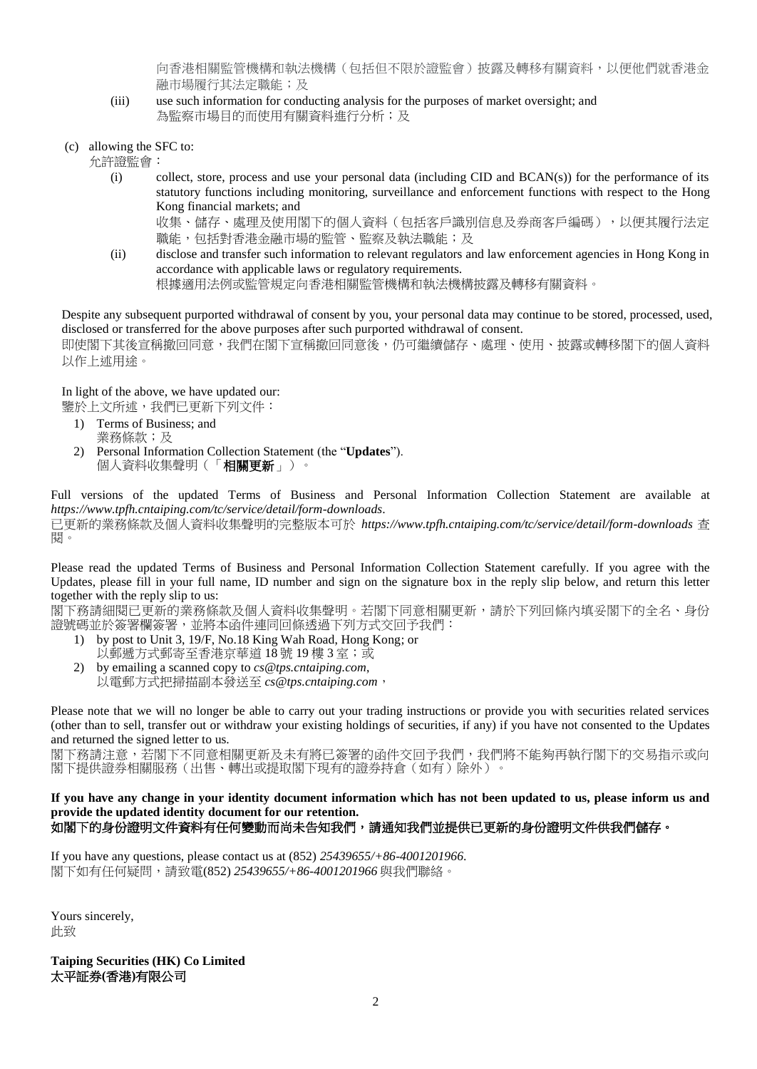向香港相關監管機構和執法機構(包括但不限於證監會)披露及轉移有關資料,以便他們就香港金 融市場履行其法定職能;及

- (iii) use such information for conducting analysis for the purposes of market oversight; and 為監察市場目的而使用有關資料進行分析;及
- (c) allowing the SFC to:

允許證監會:

(i) collect, store, process and use your personal data (including CID and BCAN(s)) for the performance of its statutory functions including monitoring, surveillance and enforcement functions with respect to the Hong Kong financial markets; and

收集、儲存、處理及使用閣下的個人資料(包括客戶識別信息及券商客戶編碼),以便其履行法定 職能,包括對香港金融市場的監管、監察及執法職能;及

(ii) disclose and transfer such information to relevant regulators and law enforcement agencies in Hong Kong in accordance with applicable laws or regulatory requirements. 根據適用法例或監管規定向香港相關監管機構和執法機構披露及轉移有關資料。

Despite any subsequent purported withdrawal of consent by you, your personal data may continue to be stored, processed, used, disclosed or transferred for the above purposes after such purported withdrawal of consent.

即使閣下其後宣稱撤回同意,我們在閣下宣稱撤回同意後,仍可繼續儲存、處理、使用、披露或轉移閣下的個人資料 以作上述用途。

In light of the above, we have updated our:

鑒於上文所述,我們已更新下列文件:

- 1) Terms of Business; and 業務條款;及
- 2) Personal Information Collection Statement (the "**Updates**"). 個人資料收集聲明(「相關更新」)。

Full versions of the updated Terms of Business and Personal Information Collection Statement are available at *https://www.tpfh.cntaiping.com/tc/service/detail/form-downloads*. 已更新的業務條款及個人資料收集聲明的完整版本可於 *https://www.tpfh.cntaiping.com/tc/service/detail/form-downloads* 查 閱。

Please read the updated Terms of Business and Personal Information Collection Statement carefully. If you agree with the Updates, please fill in your full name, ID number and sign on the signature box in the reply slip below, and return this letter together with the reply slip to us:

閣下務請細閱已更新的業務條款及個人資料收集聲明。若閣下同意相關更新,請於下列回條內填妥閣下的全名、身份 證號碼並於簽署欄簽署,並將本函件連同回條透過下列方式交回予我們:

- 1) by post to Unit 3, 19/F, No.18 King Wah Road, Hong Kong; or 以郵遞方式郵寄至香港京華道 18號 19樓 3室;或
- 2) by emailing a scanned copy to *cs@tps.cntaiping.com*, 以電郵方式把掃描副本發送至 *cs@tps.cntaiping.com*,

Please note that we will no longer be able to carry out your trading instructions or provide you with securities related services (other than to sell, transfer out or withdraw your existing holdings of securities, if any) if you have not consented to the Updates and returned the signed letter to us.

閣下務請注意,若閣下不同意相關更新及未有將已簽署的函件交回予我們,我們將不能夠再執行閣下的交易指示或向 閣下提供證券相關服務(出售、轉出或提取閣下現有的證券持倉(如有)除外)。

## **If you have any change in your identity document information which has not been updated to us, please inform us and provide the updated identity document for our retention.** 如閣下的身份證明文件資料有任何變動而尚未告知我們,請通知我們並提供已更新的身份證明文件供我們儲存。

If you have any questions, please contact us at (852) *25439655/+86-4001201966*. 閣下如有任何疑問,請致電(852) *25439655/+86-4001201966* 與我們聯絡。

Yours sincerely, 此致

**Taiping Securities (HK) Co Limited** 太平証券**(**香港**)**有限公司